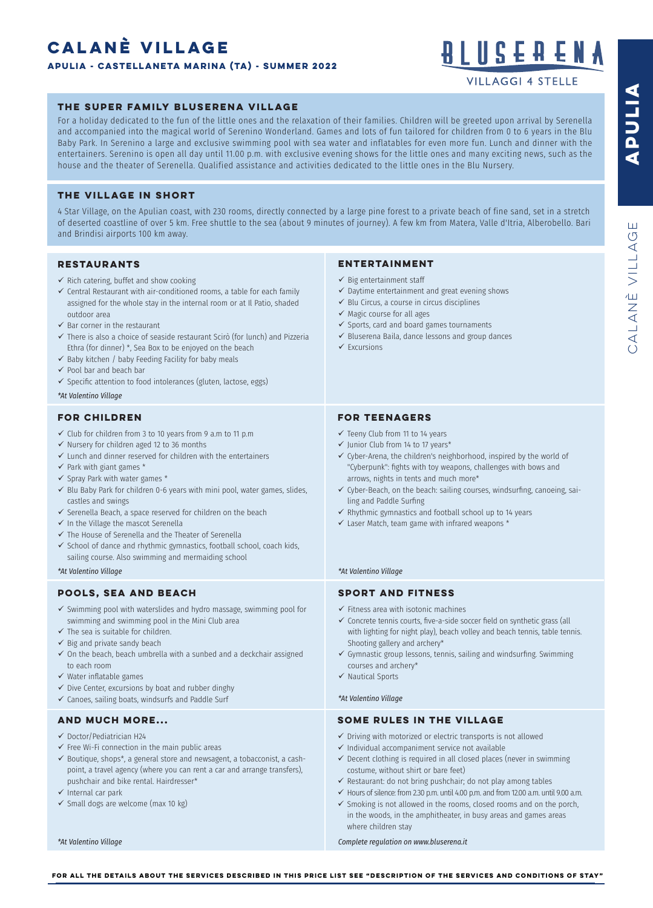# **CALANÈ VILLAGE**

**APULIA - castellaneta marina (TA) - SUMMER 2022**



**VILLAGGI 4 STELLE** 

# **THE SUPER FAMILY BLUSERENA VILLAGE**

For a holiday dedicated to the fun of the little ones and the relaxation of their families. Children will be greeted upon arrival by Serenella and accompanied into the magical world of Serenino Wonderland. Games and lots of fun tailored for children from 0 to 6 years in the Blu Baby Park. In Serenino a large and exclusive swimming pool with sea water and inflatables for even more fun. Lunch and dinner with the entertainers. Serenino is open all day until 11.00 p.m. with exclusive evening shows for the little ones and many exciting news, such as the house and the theater of Serenella. Qualified assistance and activities dedicated to the little ones in the Blu Nursery.

# **THE VILLAGE IN SHORT**

4 Star Village, on the Apulian coast, with 230 rooms, directly connected by a large pine forest to a private beach of fine sand, set in a stretch of deserted coastline of over 5 km. Free shuttle to the sea (about 9 minutes of journey). A few km from Matera, Valle d'Itria, Alberobello. Bari and Brindisi airports 100 km away.

# **RESTAURANTS**

- $\checkmark$  Rich catering, buffet and show cooking
- $\checkmark$  Central Restaurant with air-conditioned rooms, a table for each family assigned for the whole stay in the internal room or at Il Patio, shaded outdoor area
- $\checkmark$  Bar corner in the restaurant
- $\checkmark$  There is also a choice of seaside restaurant Scirò (for lunch) and Pizzeria Ethra (for dinner) \*, Sea Box to be enjoyed on the beach
- $\checkmark$  Baby kitchen / baby Feeding Facility for baby meals
- $\checkmark$  Pool bar and beach bar
- $\checkmark$  Specific attention to food intolerances (gluten, lactose, eggs)

*\*At Valentino Village*

# **FOR CHILDREN**

- $\checkmark$  Club for children from 3 to 10 years from 9 a.m to 11 p.m
- $\checkmark$  Nursery for children aged 12 to 36 months
- $\checkmark$  Lunch and dinner reserved for children with the entertainers
- $\checkmark$  Park with giant games \*
- $\checkmark$  Spray Park with water games  $*$
- $\checkmark$  Blu Baby Park for children 0-6 years with mini pool, water games, slides, castles and swings
- $\checkmark$  Serenella Beach, a space reserved for children on the beach
- $\checkmark$  In the Village the mascot Serenella
- $\checkmark$  The House of Serenella and the Theater of Serenella
- $\checkmark$  School of dance and rhythmic gymnastics, football school, coach kids, sailing course. Also swimming and mermaiding school

# **POOLS, SEA AND BEACH**

- $\checkmark$  Swimming pool with waterslides and hydro massage, swimming pool for swimming and swimming pool in the Mini Club area
- $\checkmark$  The sea is suitable for children.
- $\checkmark$  Big and private sandy beach
- $\checkmark$  On the beach, beach umbrella with a sunbed and a deckchair assigned to each room
- $\checkmark$  Water inflatable games
- $\checkmark$  Dive Center, excursions by boat and rubber dinghy
- $\checkmark$  Canoes, sailing boats, windsurfs and Paddle Surf

# **AND MUCH MORE...**

- $\checkmark$  Doctor/Pediatrician H24
- $\checkmark$  Free Wi-Fi connection in the main public areas
- $\checkmark$  Boutique, shops\*, a general store and newsagent, a tobacconist, a cashpoint, a travel agency (where you can rent a car and arrange transfers), pushchair and bike rental. Hairdresser\*
- $\checkmark$  Internal car park
- $\checkmark$  Small dogs are welcome (max 10 kg)

*\*At Valentino Village*

#### **ENTERTAINMENT**

- $\checkmark$  Big entertainment staff
- $\checkmark$  Daytime entertainment and great evening shows
- $\checkmark$  Blu Circus, a course in circus disciplines
- $\checkmark$  Magic course for all ages
- $\checkmark$  Sports, card and board games tournaments
- $\checkmark$  Bluserena Baila, dance lessons and group dances
- $\checkmark$  Excursions

# **FOR TEENAGERS**

- $\checkmark$  Teeny Club from 11 to 14 years
- $\checkmark$  Junior Club from 14 to 17 years\*
- $\checkmark$  Cyber-Arena, the children's neighborhood, inspired by the world of "Cyberpunk": fghts with toy weapons, challenges with bows and arrows, nights in tents and much more\*
- $\checkmark$  Cyber-Beach, on the beach: sailing courses, windsurfing, canoeing, sailing and Paddle Surfng
- $\checkmark$  Rhythmic gymnastics and football school up to 14 years
- $\checkmark$  Laser Match, team game with infrared weapons \*

#### *\*At Valentino Village \*At Valentino Village*

# **SPORT AND FITNESS**

- $\checkmark$  Fitness area with isotonic machines
- $\checkmark$  Concrete tennis courts, five-a-side soccer field on synthetic grass (all with lighting for night play), beach volley and beach tennis, table tennis. Shooting gallery and archery\*
- $\checkmark$  Gymnastic group lessons, tennis, sailing and windsurfing. Swimming courses and archery\*
- $\checkmark$  Nautical Sports
- *\*At Valentino Village*

# **SOME RULES IN THE VILLAGE**

- $\checkmark$  Driving with motorized or electric transports is not allowed
- $\checkmark$  Individual accompaniment service not available
- $\checkmark$  Decent clothing is required in all closed places (never in swimming costume, without shirt or bare feet)
- $\checkmark$  Restaurant: do not bring pushchair; do not play among tables
- $\checkmark$  Hours of silence: from 2.30 p.m. until 4.00 p.m. and from 12.00 a.m. until 9.00 a.m.
- $\checkmark$  Smoking is not allowed in the rooms, closed rooms and on the porch, in the woods, in the amphitheater, in busy areas and games areas where children stay

*Complete regulation on www.bluserena.it*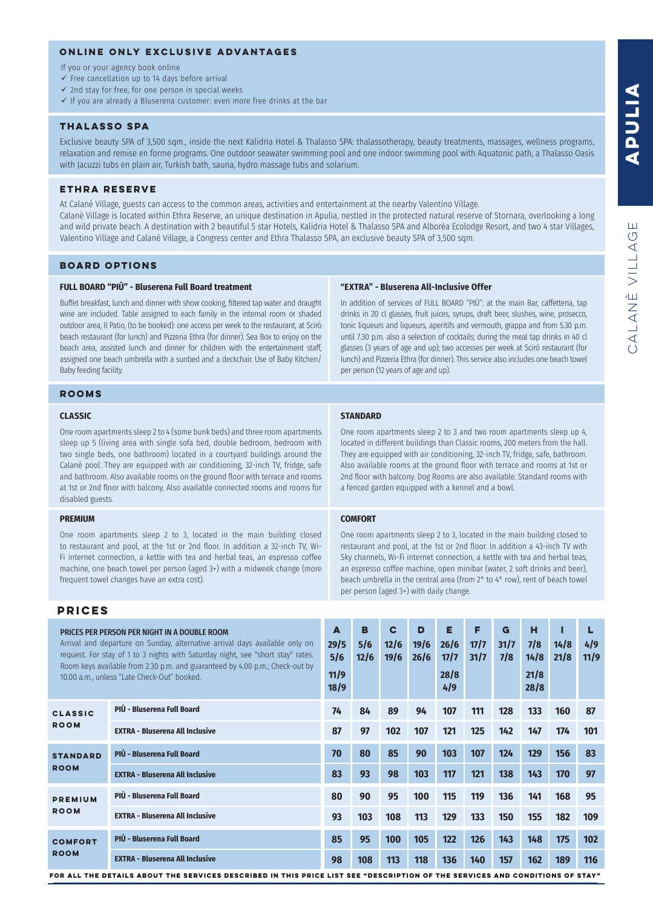# **ONLINE ONLY EXCLUSIVE ADVANTAGES**

If you or your agency book online

- $\checkmark$  Free cancellation up to 14 days before arrival
- $\checkmark$  2nd stay for free, for one person in special weeks
- $\checkmark$  If you are already a Bluserena customer: even more free drinks at the bar

# **thalasso spa**

Exclusive beauty SPA of 3,500 sqm., inside the next Kalidria Hotel & Thalasso SPA: thalassotherapy, beauty treatments, massages, wellness programs, relaxation and remise en forme programs. One outdoor seawater swimming pool and one indoor swimming pool with Aquatonic path, a Thalasso Oasis with Jacuzzi tubs en plain air, Turkish bath, sauna, hydro massage tubs and solarium.

#### **ETHRA RESERVE**

At Calanè Village, guests can access to the common areas, activities and entertainment at the nearby Valentino Village. Calanè Village is located within Ethra Reserve, an unique destination in Apulia, nestled in the protected natural reserve of Stornara, overlooking a long and wild private beach. A destination with 2 beautiful 5 star Hotels, Kalidria Hotel & Thalasso SPA and Alborèa Ecolodge Resort, and two 4 star Villages, Valentino Village and Calanè Village, a Congress center and Ethra Thalasso SPA, an exclusive beauty SPA of 3,500 sqm.

# **BOARD OPTIONS**

#### **FULL BOARD "PIÙ" - Bluserena Full Board treatment**

Buffet breakfast, lunch and dinner with show cooking, fltered tap water and draught wine are included. Table assigned to each family in the internal room or shaded outdoor area, Il Patio, (to be booked): one access per week to the restaurant, at Scirò beach restaurant (for lunch) and Pizzeria Ethra (for dinner). Sea Box to enjoy on the beach area, assisted lunch and dinner for children with the entertainment staff, assigned one beach umbrella with a sunbed and a deckchair. Use of Baby Kitchen/ Baby feeding facility.

#### **"EXTRA" - Bluserena All-Inclusive Offer**

In addition of services of FULL BOARD "PIÙ": at the main Bar, caffetteria, tap drinks in 20 cl glasses, fruit juices, syrups, draft beer, slushes, wine, prosecco, tonic liqueurs and liqueurs, aperitifs and vermouth, grappa and from 5.30 p.m. until 7.30 p.m. also a selection of cocktails; during the meal tap drinks in 40 cl glasses (3 years of age and up); two accesses per week at Scirò restaurant (for lunch) and Pizzeria Ethra (for dinner). This service also includes one beach towel per person (12 years of age and up).

# **ROOMS**

#### **CLASSIC**

One room apartments sleep 2 to 4 (some bunk beds) and three room apartments sleep up 5 (living area with single sofa bed, double bedroom, bedroom with two single beds, one bathroom) located in a courtyard buildings around the Calanè pool. They are equipped with air conditioning, 32-inch TV, fridge, safe and bathroom. Also available rooms on the ground floor with terrace and rooms at 1st or 2nd floor with balcony. Also available connected rooms and rooms for disabled guests.

# **PREMIUM**

One room apartments sleep 2 to 3, located in the main building closed to restaurant and pool, at the 1st or 2nd floor. In addition a 32-inch TV, Wi-Fi internet connection, a kettle with tea and herbal teas, an espresso coffee machine, one beach towel per person (aged 3+) with a midweek change (more frequent towel changes have an extra cost).

#### **STANDARD**

One room apartments sleep 2 to 3 and two room apartments sleep up 4, located in different buildings than Classic rooms, 200 meters from the hall. They are equipped with air conditioning, 32-inch TV, fridge, safe, bathroom. Also available rooms at the ground floor with terrace and rooms at 1st or 2nd floor with balcony. Dog Rooms are also available. Standard rooms with a fenced garden equipped with a kennel and a bowl.

# **COMFORT**

One room apartments sleep 2 to 3, located in the main building closed to restaurant and pool, at the 1st or 2nd floor. In addition a 43-inch TV with Sky channels, Wi-Fi internet connection, a kettle with tea and herbal teas, an espresso coffee machine, open minibar (water, 2 soft drinks and beer), beach umbrella in the central area (from 2° to 4° row), rent of beach towel per person (aged 3+) with daily change.

# **PRICES**

| PRICES PER PERSON PER NIGHT IN A DOUBLE ROOM<br>Arrival and departure on Sunday, alternative arrival days available only on<br>request. For stay of 1 to 3 nights with Saturday night, see "short stay" rates.<br>Room keys available from 2.30 p.m. and guaranteed by 4.00 p.m.; Check-out by<br>10.00 a.m., unless "Late Check-Out" booked. |                                        | A<br>29/5<br>5/6<br>11/9<br>18/9 | в<br>5/6<br>12/6 | C<br>12/6<br>19/6 | D<br>19/6<br>26/6 | Е<br>26/6<br>17/7<br>28/8<br>4/9 | F<br>17/7<br>31/7 | G<br>31/7<br>7/8 | н<br>7/8<br>14/8<br>21/8<br>28/8 | Π<br>14/8<br>21/8 | L<br>4/9<br>11/9 |
|-----------------------------------------------------------------------------------------------------------------------------------------------------------------------------------------------------------------------------------------------------------------------------------------------------------------------------------------------|----------------------------------------|----------------------------------|------------------|-------------------|-------------------|----------------------------------|-------------------|------------------|----------------------------------|-------------------|------------------|
| <b>CLASSIC</b><br><b>ROOM</b>                                                                                                                                                                                                                                                                                                                 | PIÙ - Bluserena Full Board             | 74                               | 84               | 89                | 94                | 107                              | 111               | 128              | 133                              | 160               | 87               |
|                                                                                                                                                                                                                                                                                                                                               | <b>EXTRA - Bluserena All Inclusive</b> | 87                               | 97               | 102               | 107               | 121                              | 125               | 142              | 147                              | 174               | 101              |
| <b>STANDARD</b><br><b>ROOM</b>                                                                                                                                                                                                                                                                                                                | PIÙ - Bluserena Full Board             | 70                               | 80               | 85                | 90                | 103                              | 107               | 124              | 129                              | 156               | 83               |
|                                                                                                                                                                                                                                                                                                                                               | <b>EXTRA - Bluserena All Inclusive</b> | 83                               | 93               | 98                | 103               | 117                              | 121               | 138              | 143                              | 170               | 97               |
| <b>PREMIUM</b><br><b>ROOM</b>                                                                                                                                                                                                                                                                                                                 | PIÙ - Bluserena Full Board             | 80                               | 90               | 95                | 100               | 115                              | 119               | 136              | 141                              | 168               | 95               |
|                                                                                                                                                                                                                                                                                                                                               | <b>EXTRA - Bluserena All Inclusive</b> | 93                               | 103              | 108               | 113               | 129                              | 133               | 150              | 155                              | 182               | 109              |
| <b>COMFORT</b><br><b>ROOM</b>                                                                                                                                                                                                                                                                                                                 | PIÙ - Bluserena Full Board             | 85                               | 95               | 100               | 105               | 122                              | 126               | 143              | 148                              | 175               | 102              |
|                                                                                                                                                                                                                                                                                                                                               | <b>EXTRA - Bluserena All Inclusive</b> | 98                               | 108              | 113               | 118               | 136                              | 140               | 157              | 162                              | 189               | 116              |

**FOR ALL THE DETAILS about THE SERVICES DESCRIBED IN THIS PRICE LIST SEE "DESCRIPTION OF THE SERVICES AND CONDITIONS OF STAY"**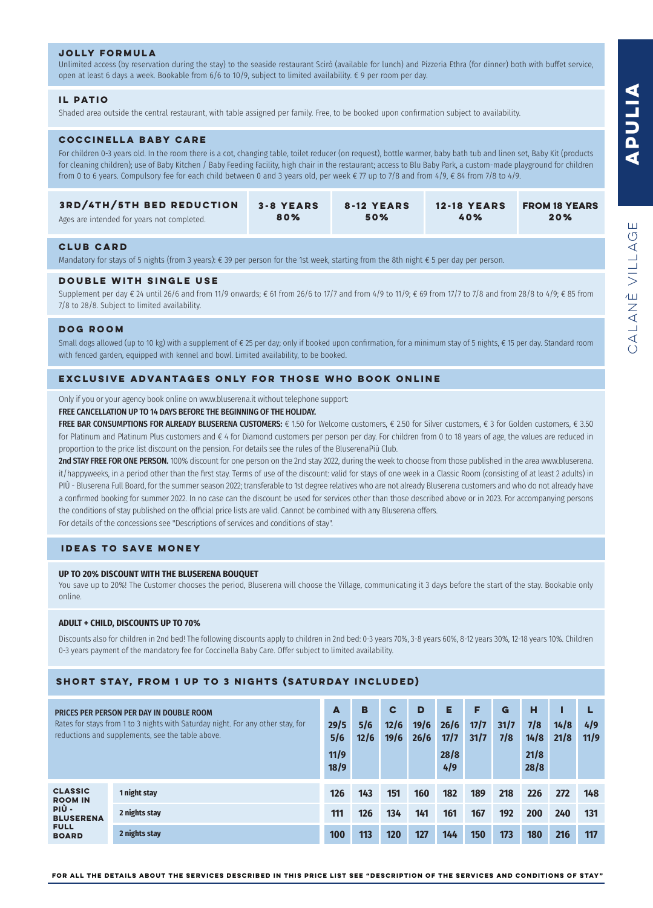# **APULIA APULIA**

# **jolly formula**

Unlimited access (by reservation during the stay) to the seaside restaurant Scirò (available for lunch) and Pizzeria Ethra (for dinner) both with buffet service, open at least 6 days a week. Bookable from 6/6 to 10/9, subject to limited availability. € 9 per room per day.

# **il patio**

Shaded area outside the central restaurant, with table assigned per family. Free, to be booked upon confrmation subject to availability.

# **coccinella baby care**

For children 0-3 years old. In the room there is a cot, changing table, toilet reducer (on request), bottle warmer, baby bath tub and linen set, Baby Kit (products for cleaning children); use of Baby Kitchen / Baby Feeding Facility, high chair in the restaurant; access to Blu Baby Park, a custom-made playground for children from 0 to 6 years. Compulsory fee for each child between 0 and 3 years old, per week € 77 up to 7/8 and from 4/9, € 84 from 7/8 to 4/9.

| <b>3RD/4TH/5TH BED REDUCTION</b>           | <b>3-8 YEARS</b> | 8-12 YEARS | <b>12-18 YEARS</b> | <b>FROM 18 YEARS</b> |
|--------------------------------------------|------------------|------------|--------------------|----------------------|
| Ages are intended for years not completed. | 80%              | 50%        | 40%                | 20%                  |

# **club card**

Mandatory for stays of 5 nights (from 3 years): € 39 per person for the 1st week, starting from the 8th night € 5 per day per person.

# **DOUBLE WITH SINGLE USE**

Supplement per day  $\epsilon$  24 until 26/6 and from 11/9 onwards;  $\epsilon$  61 from 26/6 to 17/7 and from 4/9 to 11/9;  $\epsilon$  69 from 17/7 to 7/8 and from 28/8 to 4/9;  $\epsilon$  85 from 7/8 to 28/8. Subject to limited availability.

#### **dog ROOM**

Small dogs allowed (up to 10 kg) with a supplement of € 25 per day; only if booked upon confirmation, for a minimum stay of 5 nights, € 15 per day. Standard room with fenced garden, equipped with kennel and bowl. Limited availability, to be booked.

# **EXCLUSIVE ADVANTAGES ONLY FOR THOSE WHO BOOK ONLINE**

Only if you or your agency book online on www.bluserena.it without telephone support:

#### FREE CANCELLATION UP TO 14 DAYS BEFORE THE BEGINNING OF THE HOLIDAY.

FREE BAR CONSUMPTIONS FOR ALREADY BLUSERENA CUSTOMERS: € 1.50 for Welcome customers, € 2.50 for Silver customers, € 3 for Golden customers, € 3.50 for Platinum and Platinum Plus customers and € 4 for Diamond customers per person per day. For children from 0 to 18 years of age, the values are reduced in proportion to the price list discount on the pension. For details see the rules of the BluserenaPiù Club.

2nd STAY FREE FOR ONE PERSON. 100% discount for one person on the 2nd stay 2022, during the week to choose from those published in the area www.bluserena. it/happyweeks, in a period other than the first stay. Terms of use of the discount: valid for stays of one week in a Classic Room (consisting of at least 2 adults) in PIÙ - Bluserena Full Board, for the summer season 2022; transferable to 1st degree relatives who are not already Bluserena customers and who do not already have a confirmed booking for summer 2022. In no case can the discount be used for services other than those described above or in 2023. For accompanying persons the conditions of stay published on the offcial price lists are valid. Cannot be combined with any Bluserena offers. For details of the concessions see "Descriptions of services and conditions of stay".

**IDEAS TO SAVE MONEY**

#### **UP TO 20% DISCOUNT WITH THE BLUSERENA BOUQUET**

You save up to 20%! The Customer chooses the period, Bluserena will choose the Village, communicating it 3 days before the start of the stay. Bookable only online.

#### **ADULT + CHILD, DISCOUNTS UP TO 70%**

Discounts also for children in 2nd bed! The following discounts apply to children in 2nd bed: 0-3 years 70%, 3-8 years 60%, 8-12 years 30%, 12-18 years 10%. Children 0-3 years payment of the mandatory fee for Coccinella Baby Care. Offer subject to limited availability.

# **SHORT STAY, FROM 1 UP TO 3 NIGHTS (SATURDAY INCLUDED)**

| PRICES PER PERSON PER DAY IN DOUBLE ROOM<br>Rates for stays from 1 to 3 nights with Saturday night. For any other stay, for<br>reductions and supplements, see the table above. |               | A<br>29/5<br>5/6<br>11/9<br>18/9 | B<br>5/6<br>12/6 | C<br>12/6<br>19/6 | D<br>19/6<br>26/6 | Е<br>26/6<br>17/7<br>28/8<br>4/9 | F<br>17/7<br>31/7 | G<br>31/7<br>7/8 | н<br>7/8<br>14/8<br>21/8<br>28/8 | 14/8<br>21/8 | 4/9<br>11/9 |
|---------------------------------------------------------------------------------------------------------------------------------------------------------------------------------|---------------|----------------------------------|------------------|-------------------|-------------------|----------------------------------|-------------------|------------------|----------------------------------|--------------|-------------|
| <b>CLASSIC</b><br><b>ROOM IN</b><br>PIÙ -<br><b>BLUSERENA</b><br><b>FULL</b><br><b>BOARD</b>                                                                                    | 1 night stay  | 126                              | 143              | 151               | 160               | 182                              | 189               | 218              | 226                              | 272          | 148         |
|                                                                                                                                                                                 | 2 nights stay | 111                              | 126              | 134               | 141               | 161                              | 167               | 192              | 200                              | 240          | 131         |
|                                                                                                                                                                                 | 2 nights stay | 100                              | 113              | 120               | 127               | 144                              | 150               | 173              | <b>180</b>                       | 216          | 117         |